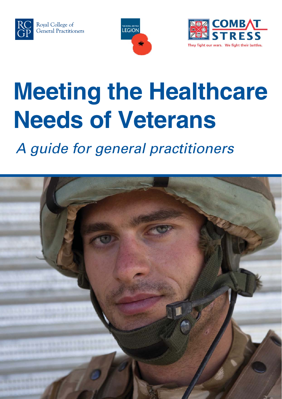





# **Meeting the Healthcare Needs of Veterans**

A guide for general practitioners

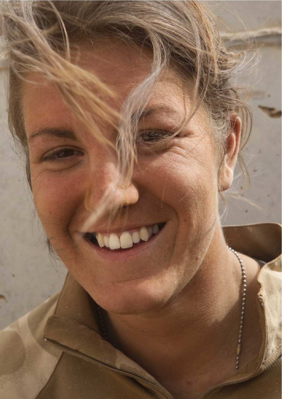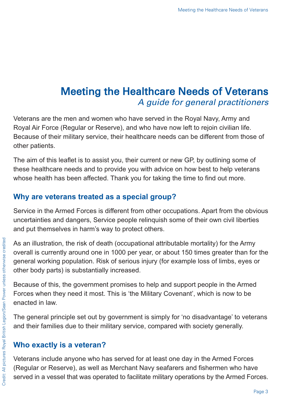## Meeting the Healthcare Needs of Veterans A guide for general practitioners

Veterans are the men and women who have served in the Royal Navy, Army and Royal Air Force (Regular or Reserve), and who have now left to rejoin civilian life. Because of their military service, their healthcare needs can be different from those of other patients.

The aim of this leaflet is to assist you, their current or new GP, by outlining some of these healthcare needs and to provide you with advice on how best to help veterans whose health has been affected. Thank you for taking the time to find out more.

## **Why are veterans treated as a special group?**

Service in the Armed Forces is different from other occupations. Apart from the obvious uncertainties and dangers, Service people relinquish some of their own civil liberties and put themselves in harm's way to protect others.

As an illustration, the risk of death (occupational attributable mortality) for the Army overall is currently around one in 1000 per year, or about 150 times greater than for the general working population. Risk of serious injury (for example loss of limbs, eyes or other body parts) is substantially increased.

Because of this, the government promises to help and support people in the Armed Forces when they need it most. This is 'the Military Covenant', which is now to be enacted in law.

The general principle set out by government is simply for 'no disadvantage' to veterans and their families due to their military service, compared with society generally.

## **Who exactly is a veteran?**

Veterans include anyone who has served for at least one day in the Armed Forces (Regular or Reserve), as well as Merchant Navy seafarers and fishermen who have served in a vessel that was operated to facilitate military operations by the Armed Forces.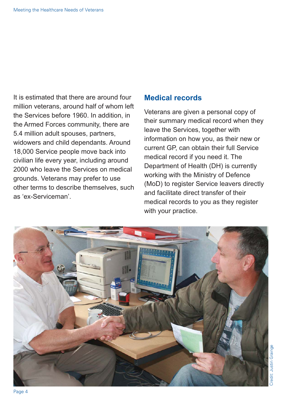It is estimated that there are around four million veterans, around half of whom left the Services before 1960. In addition, in the Armed Forces community, there are 5.4 million adult spouses, partners, widowers and child dependants. Around 18,000 Service people move back into civilian life every year, including around 2000 who leave the Services on medical grounds. Veterans may prefer to use other terms to describe themselves, such as 'ex-Serviceman'.

## **Medical records**

Veterans are given a personal copy of their summary medical record when they leave the Services, together with information on how you, as their new or current GP, can obtain their full Service medical record if you need it. The Department of Health (DH) is currently working with the Ministry of Defence (MoD) to register Service leavers directly and facilitate direct transfer of their medical records to you as they register with your practice.

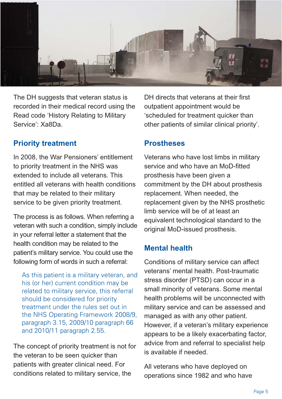

The DH suggests that veteran status is recorded in their medical record using the Read code 'History Relating to Military Service': Xa8Da.

#### **Priority treatment**

In 2008, the War Pensioners' entitlement to priority treatment in the NHS was extended to include all veterans. This entitled all veterans with health conditions that may be related to their military service to be given priority treatment.

The process is as follows. When referring a veteran with such a condition, simply include in your referral letter a statement that the health condition may be related to the patient's military service. You could use the following form of words in such a referral:

As this patient is a military veteran, and his (or her) current condition may be related to military service, this referral should be considered for priority treatment under the rules set out in the NHS Operating Framework 2008/9, paragraph 3.15, 2009/10 paragraph 66 and 2010/11 paragraph 2.55.

The concept of priority treatment is not for the veteran to be seen quicker than patients with greater clinical need. For conditions related to military service, the

DH directs that veterans at their first outpatient appointment would be 'scheduled for treatment quicker than other patients of similar clinical priority'.

#### **Prostheses**

Veterans who have lost limbs in military service and who have an MoD-fitted prosthesis have been given a commitment by the DH about prosthesis replacement. When needed, the replacement given by the NHS prosthetic limb service will be of at least an equivalent technological standard to the original MoD-issued prosthesis.

## **Mental health**

Conditions of military service can affect veterans' mental health. Post-traumatic stress disorder (PTSD) can occur in a small minority of veterans. Some mental health problems will be unconnected with military service and can be assessed and managed as with any other patient. However, if a veteran's military experience appears to be a likely exacerbating factor, advice from and referral to specialist help is available if needed.

All veterans who have deployed on operations since 1982 and who have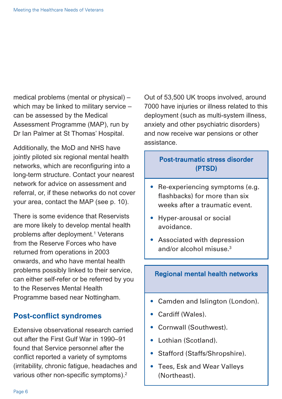medical problems (mental or physical) – which may be linked to military service can be assessed by the Medical Assessment Programme (MAP), run by Dr Ian Palmer at St Thomas' Hospital.

Additionally, the MoD and NHS have jointly piloted six regional mental health networks, which are reconfiguring into a long-term structure. Contact your nearest network for advice on assessment and referral, or, if these networks do not cover your area, contact the MAP (see p. 10).

There is some evidence that Reservists are more likely to develop mental health problems after deployment.<sup>1</sup> Veterans from the Reserve Forces who have returned from operations in 2003 onwards, and who have mental health problems possibly linked to their service, can either self-refer or be referred by you to the Reserves Mental Health Programme based near Nottingham.

## **Post-conflict syndromes**

Extensive observational research carried out after the First Gulf War in 1990–91 found that Service personnel after the conflict reported a variety of symptoms (irritability, chronic fatigue, headaches and various other non-specific symptoms).2

Out of 53,500 UK troops involved, around 7000 have injuries or illness related to this deployment (such as multi-system illness, anxiety and other psychiatric disorders) and now receive war pensions or other assistance.

## Post-traumatic stress disorder (PTSD)

- Re-experiencing symptoms (e.g. flashbacks) for more than six weeks after a traumatic event.
- Hyper-arousal or social avoidance.
- Associated with depression and/or alcohol misuse.3

#### Regional mental health networks

- Camden and Islington (London).
- Cardiff (Wales).
- Cornwall (Southwest).
- Lothian (Scotland).
- Stafford (Staffs/Shropshire).
- Tees, Esk and Wear Valleys (Northeast).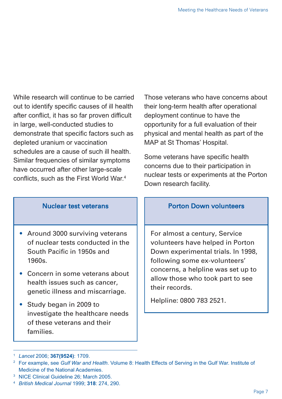While research will continue to be carried out to identify specific causes of ill health after conflict, it has so far proven difficult in large, well-conducted studies to demonstrate that specific factors such as depleted uranium or vaccination schedules are a cause of such ill health. Similar frequencies of similar symptoms have occurred after other large-scale conflicts, such as the First World War.4

Those veterans who have concerns about their long-term health after operational deployment continue to have the opportunity for a full evaluation of their physical and mental health as part of the MAP at St Thomas' Hospital.

Some veterans have specific health concerns due to their participation in nuclear tests or experiments at the Porton Down research facility.

| <b>Nuclear test veterans</b>                                                                                                                                                                                       | <b>Porton Down volunteers</b>                                                                                                                                                                                                                                    |
|--------------------------------------------------------------------------------------------------------------------------------------------------------------------------------------------------------------------|------------------------------------------------------------------------------------------------------------------------------------------------------------------------------------------------------------------------------------------------------------------|
| Around 3000 surviving veterans<br>of nuclear tests conducted in the<br>South Pacific in 1950s and<br>1960s.<br>Concern in some veterans about<br>health issues such as cancer,<br>genetic illness and miscarriage. | For almost a century, Service<br>volunteers have helped in Porton<br>Down experimental trials. In 1998,<br>following some ex-volunteers'<br>concerns, a helpline was set up to<br>allow those who took part to see<br>their records.<br>Helpline: 0800 783 2521. |
| Study began in 2009 to<br>investigate the healthcare needs<br>of these veterans and their<br>families.                                                                                                             |                                                                                                                                                                                                                                                                  |

<sup>1</sup> *Lancet* 2006; **367(9524)**: 1709.

<sup>2</sup> For example, see *Gulf War and Health*. Volume 8: Health Effects of Serving in the Gulf War. Institute of Medicine of the National Academies.

<sup>3</sup> NICE Clinical Guideline 26; March 2005.

<sup>4</sup> *British Medical Journal* 1999; **318**: 274, 290.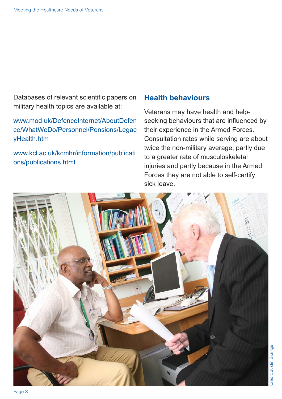Databases of relevant scientific papers on military health topics are available at:

[www.mod.uk/DefenceInternet/AboutDefen](http://www.mod.uk/DefenceInternet/AboutDefence/WhatWeDo/Personnel/Pensions/LegacyHealth.htm) ce/WhatWeDo/Personnel/Pensions/Legac yHealth.htm

[www.kcl.ac.uk/kcmhr/information/publicati](http://www.kcl.ac.uk/kcmhr/information/publications/publications.html) ons/publications.html

#### **Health behaviours**

Veterans may have health and helpseeking behaviours that are influenced by their experience in the Armed Forces. Consultation rates while serving are about twice the non-military average, partly due to a greater rate of musculoskeletal injuries and partly because in the Armed Forces they are not able to self-certify sick leave.

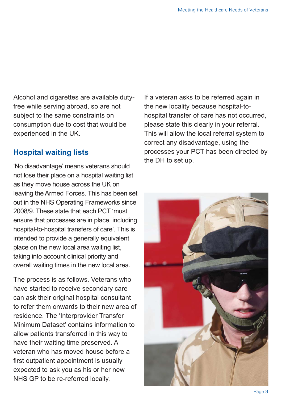Alcohol and cigarettes are available dutyfree while serving abroad, so are not subject to the same constraints on consumption due to cost that would be experienced in the UK.

## **Hospital waiting lists**

'No disadvantage' means veterans should not lose their place on a hospital waiting list as they move house across the UK on leaving the Armed Forces. This has been set out in the NHS Operating Frameworks since 2008/9. These state that each PCT 'must ensure that processes are in place, including hospital-to-hospital transfers of care'. This is intended to provide a generally equivalent place on the new local area waiting list, taking into account clinical priority and overall waiting times in the new local area.

The process is as follows. Veterans who have started to receive secondary care can ask their original hospital consultant to refer them onwards to their new area of residence. The 'Interprovider Transfer Minimum Dataset' contains information to allow patients transferred in this way to have their waiting time preserved. A veteran who has moved house before a first outpatient appointment is usually expected to ask you as his or her new NHS GP to be re-referred locally.

If a veteran asks to be referred again in the new locality because hospital-tohospital transfer of care has not occurred, please state this clearly in your referral. This will allow the local referral system to correct any disadvantage, using the processes your PCT has been directed by the DH to set up.

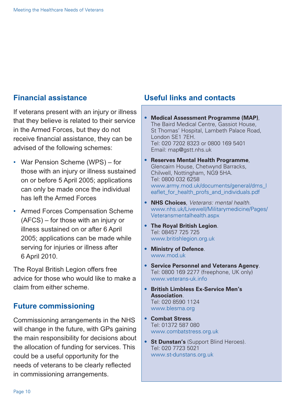## **Financial assistance**

If veterans present with an injury or illness that they believe is related to their service in the Armed Forces, but they do not receive financial assistance, they can be advised of the following schemes:

- War Pension Scheme (WPS) for those with an injury or illness sustained on or before 5 April 2005; applications can only be made once the individual has left the Armed Forces
- Armed Forces Compensation Scheme (AFCS) – for those with an injury or illness sustained on or after 6 April 2005; applications can be made while serving for injuries or illness after 6 April 2010.

The Royal British Legion offers free advice for those who would like to make a claim from either scheme.

#### **Future commissioning**

Commissioning arrangements in the NHS will change in the future, with GPs gaining the main responsibility for decisions about the allocation of funding for services. This could be a useful opportunity for the needs of veterans to be clearly reflected in commissioning arrangements.

## **Useful links and contacts**

- **Medical Assessment Programme (MAP)**, The Baird Medical Centre, Gassiot House, St Thomas' Hospital, Lambeth Palace Road, London SE1 7EH. Tel: 020 7202 8323 or 0800 169 5401 [Email: map@gstt.nhs.uk](mailto:map@gstt.nhs.uk)
- **Reserves Mental Health Programme**, Glencairn House, Chetwynd Barracks, Chilwell, Nottingham, NG9 5HA. Tel: 0800 032 6258 [www.army.mod.uk/documents/general/dms\\_l](http://www.army.mod.uk/documents/general/dms_leaflet_for_health_profs_and_individuals.pdf) eaflet for health profs and individuals.pdf
- **NHS Choices**, Veterans: mental health. [www.nhs.uk/Livewell/Militarymedicine/Pages/](http://www.nhs.uk/Livewell/Militarymedicine/Pages/Veteransmentalhealth.aspx) Veteransmentalhealth.aspx
- **The Royal British Legion**. Tel: 08457 725 725 [www.britishlegion.org.uk](http://www.britishlegion.org.uk)
- **Ministry of Defence**. [www.mod.uk](http://www.mod.uk)
- **Service Personnel and Veterans Agency**. Tel: 0800 169 2277 (freephone, UK only) [www.veterans-uk.info](http://www.veterans-uk.info)
- **British Limbless Ex-Service Men's Association**. Tel: 020 8590 1124 [www.blesma.org](http://www.blesma.org)
- **Combat Stress**. Tel: 01372 587 080 [www.combatstress.org.uk](http://www.combatstress.org.uk)
- **St Dunstan's** (Support Blind Heroes). Tel: 020 7723 5021 [www.st-dunstans.org.uk](http://www.st-dunstans.org.uk)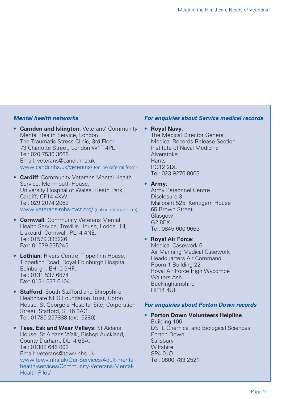#### *Mental health networks*

- **Camden and Islington**: Veterans' Community Mental Health Service, London The Traumatic Stress Clinic, 3rd Floor, 73 Charlotte Street, London W1T 4PL. Tel: 020 7530 3666 [Email: veterans@candi.nhs.uk](mailto:veterans@candi.nhs.uk) [www.candi.nhs.uk/veterans/](http://www.candi.nhs.uk/veterans/) (online referral form)
- **Cardiff**: Community Veterans Mental Health Service, Monmouth House, University Hospital of Wales, Heath Park, Cardiff, CF14 4XW. Tel: 029 2074 2062 [www.veterans-mhs-cvct.org/](http://www.veterans-mhs-cvct.org/) (online referral form)
- **Cornwall**: Community Veterans Mental Health Service, Trevillis House, Lodge Hill, Liskeard, Cornwall, PL14 4NE. Tel: 01579 335226 Fax: 01579 335245
- **Lothian**: Rivers Centre, Tipperlinn House, Tipperlinn Road, Royal Edinburgh Hospital, Edinburgh, EH10 5HF. Tel: 0131 537 6874 Fax: 0131 537 6104
- **Stafford**: South Stafford and Shropshire Healthcare NHS Foundation Trust, Coton House, St George's Hospital Site, Corporation Street, Stafford, ST16 3AG. Tel: 01785 257888 (ext. 5280)
- **Tees, Esk and Wear Valleys**: St Aidans House, St Aidans Walk, Bishop Auckland, County Durham, DL14 6SA. Tel: 01388 646 802 [Email: veterans@tewv.nhs.uk](mailto:veterans@tewv.nhs.uk) www.tewv.nhs.uk/Our-Services/Adult-mental[health-services/Community-Veterans-Mental-](http://www.tewv.nhs.uk/Our-Services/Adult-mental-health-services/Community-Veterans-Mental-Health-Pilot/)Health-Pilot/

#### *For enquiries about Service medical records*

#### • **Royal Navy**:

The Medical Director General Medical Records Release Section Institute of Naval Medicine Alverstoke **Hants** PO12 2DL Tel: 023 9276 8063

#### • **Army**:

Army Personnel Centre Disclosure 3 Mailpoint 525, Kentigern House 65 Brown Street Glasgow G2 8EX Tel: 0845 600 9663

#### • **Royal Air Force**:

Medical Casework 6 Air Manning Medical Casework Headquarters Air Command Room 1 Building 22 Royal Air Force High Wycombe Walters Ash Buckinghamshire HP14 4UE

#### *For enquiries about Porton Down records*

• **Porton Down Volunteers Helpline** Building 106 DSTL Chemical and Biological Sciences Porton Down **Salisbury Wiltshire** SP4 0JQ Tel: 0800 783 2521